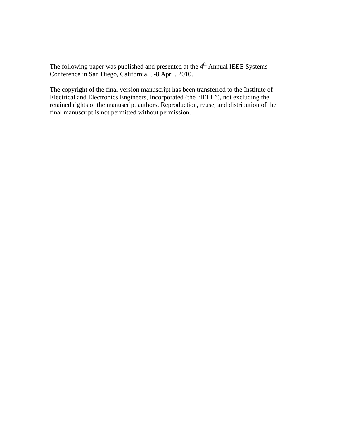The following paper was published and presented at the  $4<sup>th</sup>$  Annual IEEE Systems Conference in San Diego, California, 5-8 April, 2010.

The copyright of the final version manuscript has been transferred to the Institute of Electrical and Electronics Engineers, Incorporated (the "IEEE"), not excluding the retained rights of the manuscript authors. Reproduction, reuse, and distribution of the final manuscript is not permitted without permission.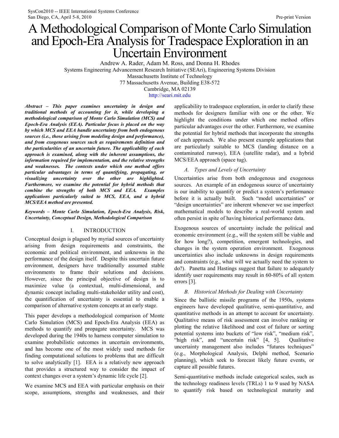# A Methodological Comparison of Monte Carlo Simulation and Epoch-Era Analysis for Tradespace Exploration in an Uncertain Environment

Andrew A. Rader, Adam M. Ross, and Donna H. Rhodes Systems Engineering Advancement Research Initiative (SEAri), Engineering Systems Division Massachusetts Institute of Technology 77 Massachusetts Avenue, Building E38-572 Cambridge, MA 02139

http://seari.mit.edu

*Abstract – This paper examines uncertainty in design and traditional methods of accounting for it, while developing a methodological comparison of Monte Carlo Simulation (MCS) and Epoch-Era Analysis (EEA). Particular focus is placed on the way by which MCS and EEA handle uncertainty from both endogenous sources (i.e., those arising from modeling design and performance), and from exogenous sources such as requirements definition and the particularities of an uncertain future. The applicability of each approach is examined, along with the inherent assumptions, the information required for implementation, and the relative strengths and weaknesses. The contexts under which one method offers particular advantages in terms of quantifying, propagating, or visualizing uncertainty over the other are highlighted. Furthermore, we examine the potential for hybrid methods that combine the strengths of both MCS and EEA. Examples applications particularly suited to MCS, EEA, and a hybrid MCS/EEA method are presented.* 

*Keywords – Monte Carlo Simulation, Epoch-Era Analysis, Risk, Uncertainty, Conceptual Design, Methodological Comparison* 

# I. INTRODUCTION

Conceptual design is plagued by myriad sources of uncertainty arising from design requirements and constraints, the economic and political environment, and unknowns in the performance of the design itself. Despite this uncertain future environment, designers have traditionally assumed stable environments to frame their solutions and decisions. However, since the principal objective of design is to maximize value (a contextual, multi-dimensional, and dynamic concept including multi-stakeholder utility and cost), the quantification of uncertainty is essential to enable a comparison of alternative system concepts at an early stage.

This paper develops a methodological comparison of Monte Carlo Simulation (MCS) and Epoch-Era Analysis (EEA) as methods to quantify and propagate uncertainty. MCS was developed during the 1940s to harness computer simulation to examine probabilistic outcomes in uncertain environments, and has become one of the most widely used methods for finding computational solutions to problems that are difficult to solve analytically [1]. EEA is a relatively new approach that provides a structured way to consider the impact of context changes over a system's dynamic life cycle [2].

We examine MCS and EEA with particular emphasis on their scope, assumptions, strengths and weaknesses, and their

applicability to tradespace exploration, in order to clarify these methods for designers familiar with one or the other. We highlight the conditions under which one method offers particular advantages over the other. Furthermore, we examine the potential for hybrid methods that incorporate the strengths of each approach. We also present example applications that are particularly suitable to MCS (landing distance on a contaminated runway), EEA (satellite radar), and a hybrid MCS/EEA approach (space tug).

# *A. Types and Levels of Uncertainty*

Uncertainties arise from both endogenous and exogenous sources. An example of an endogenous source of uncertainty is our inability to quantify or predict a system's performance before it is actually built. Such "model uncertainties" or "design uncertainties" are inherent whenever we use imperfect mathematical models to describe a real-world system and often persist in spite of having historical performance data.

Exogenous sources of uncertainty include the political and economic environment (e.g., will the system still be viable and for how long?), competition, emergent technologies, and changes in the system operation environment. Exogenous uncertainties also include unknowns in design requirements and constraints (e.g., what will we actually need the system to do?). Panetta and Hastings suggest that failure to adequately identify user requirements may result in 60-80% of all system errors [3].

# *B. Historical Methods for Dealing with Uncertainty*

Since the ballistic missile programs of the 1950s, systems engineers have developed qualitative, semi-quantitative, and quantitative methods in an attempt to account for uncertainty. Qualitative means of risk assessment can involve ranking or plotting the relative likelihood and cost of failure or sorting potential systems into buckets of "low risk", "medium risk", "high risk", and "uncertain risk" [4, 5]. Qualitative uncertainty management also includes "futures techniques" (e.g., Morphological Analysis, Delphi method, Scenario planning), which seek to forecast likely future events, or capture all possible futures.

Semi-quantitative methods include categorical scales, such as the technology readiness levels (TRLs) 1 to 9 used by NASA to quantify risk based on technological maturity and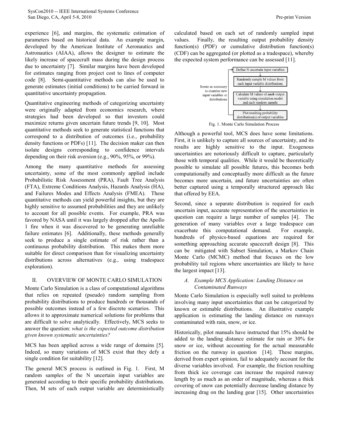experience [6], and margins, the systematic estimation of parameters based on historical data. An example margin, developed by the American Institute of Aeronautics and Astronautics (AIAA), allows the designer to estimate the likely increase of spacecraft mass during the design process due to uncertainty [7]. Similar margins have been developed for estimates ranging from project cost to lines of computer code [8]. Semi-quantitative methods can also be used to generate estimates (initial conditions) to be carried forward in quantitative uncertainty propagation.

Quantitative engineering methods of categorizing uncertainty were originally adapted from economics research, where strategies had been developed so that investors could maximize returns given uncertain future trends [9, 10]. Most quantitative methods seek to generate statistical functions that correspond to a distribution of outcomes (i.e., probability density functions or PDFs) [11]. The decision maker can then isolate designs corresponding to confidence intervals depending on their risk aversion (e.g., 90%, 95%, or 99%).

Among the many quantitative methods for assessing uncertainty, some of the most commonly applied include Probabilistic Risk Assessment (PRA), Fault Tree Analysis (FTA), Extreme Conditions Analysis, Hazards Analysis (HA), and Failures Modes and Effects Analysis (FMEA). These quantitative methods can yield powerful insights, but they are highly sensitive to assumed probabilities and they are unlikely to account for all possible events. For example, PRA was favored by NASA until it was largely dropped after the Apollo 1 fire when it was discovered to be generating unreliable failure estimates [6]. Additionally, these methods generally seek to produce a single estimate of risk rather than a continuous probability distribution. This makes them more suitable for direct comparison than for visualizing uncertainty distributions across alternatives (e.g., using tradespace exploration).

# II. OVERVIEW OF MONTE CARLO SIMULATION

Monte Carlo Simulation is a class of computational algorithms that relies on repeated (pseudo) random sampling from probability distributions to produce hundreds or thousands of possible outcomes instead of a few discrete scenarios. This allows it to approximate numerical solutions for problems that are difficult to solve analytically. Effectively, MCS seeks to answer the question: *what is the expected outcome distribution given known systematic uncertainties?*

MCS has been applied across a wide range of domains [5]. Indeed, so many variations of MCS exist that they defy a single condition for suitability [12].

The general MCS process is outlined in Fig. 1. First, M random samples of the N uncertain input variables are generated according to their specific probability distributions. Then, M sets of each output variable are deterministically calculated based on each set of randomly sampled input values. Finally, the resulting output probability density function(s) (PDF) or cumulative distribution function(s) (CDF) can be aggregated (or plotted as a tradespace), whereby the expected system performance can be assessed [11].



Fig. 1. Monte Carlo Simulation Process

Although a powerful tool, MCS does have some limitations. First, it is unlikely to capture all sources of uncertainty, and its results are highly sensitive to the input. Exogenous uncertainties are notoriously difficult to capture, particularly those with temporal qualities. While it would be theoretically possible to simulate all possible futures, this becomes both computationally and conceptually more difficult as the future becomes more uncertain, and future uncertainties are often better captured using a temporally structured approach like that offered by EEA.

Second, since a separate distribution is required for each uncertain input, accurate representation of the uncertainties in question can require a large number of samples [4]. The generation of many variables over a large tradespace can exacerbate this computational demand. For example, hundreds of physics-based equations are required for something approaching accurate spacecraft design [8]. This can be mitigated with Subset Simulation, a Markov Chain Monte Carlo (MCMC) method that focuses on the low probability tail regions where uncertainties are likely to have the largest impact [13].

# *A. Example MCS Application: Landing Distance on Contaminated Runways*

Monte Carlo Simulation is especially well suited to problems involving many input uncertainties that can be categorized by known or estimable distributions. An illustrative example application is estimating the landing distance on runways contaminated with rain, snow, or ice.

Historically, pilot manuals have instructed that 15% should be added to the landing distance estimate for rain or 30% for snow or ice, without accounting for the actual measurable friction on the runway in question [14]. These margins, derived from expert opinion, fail to adequately account for the diverse variables involved. For example, the friction resulting from thick ice coverage can increase the required runway length by as much as an order of magnitude, whereas a thick covering of snow can potentially decrease landing distance by increasing drag on the landing gear [15]. Other uncertainties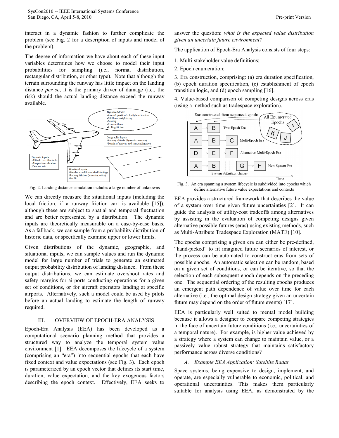SysCon2010 -- IEEE International Systems Conference San Diego, CA, April 5-8, 2010

interact in a dynamic fashion to further complicate the problem (see Fig. 2 for a description of inputs and model of the problem).

The degree of information we have about each of these input variables determines how we choose to model their input probabilities for sampling (i.e., normal distribution, rectangular distribution, or other type). Note that although the terrain surrounding the runway has little impact on the landing distance *per se*, it is the primary driver of damage (i.e., the risk) should the actual landing distance exceed the runway available.



Fig. 2. Landing distance simulation includes a large number of unknowns

We can directly measure the situational inputs (including the local friction, if a runway friction cart is available [15]), although these are subject to spatial and temporal fluctuation and are better represented by a distribution. The dynamic inputs are theoretically measurable on a case-by-case basis. As a fallback, we can sample from a probability distribution of historic data, or specifically examine upper or lower limits.

Given distributions of the dynamic, geographic, and situational inputs, we can sample values and run the dynamic model for large number of trials to generate an estimated output probability distribution of landing distance. From these output distributions, we can estimate overshoot rates and safety margins for airports conducting operations for a given set of conditions, or for aircraft operators landing at specific airports. Alternatively, such a model could be used by pilots before an actual landing to estimate the length of runway required.

# III. OVERVIEW OF EPOCH-ERA ANALYSIS

Epoch-Era Analysis (EEA) has been developed as a computational scenario planning method that provides a structured way to analyze the temporal system value environment [1]. EEA decomposes the lifecycle of a system (comprising an "era") into sequential epochs that each have fixed context and value expectations (see Fig. 3). Each epoch is parameterized by an epoch vector that defines its start time, duration, value expectation, and the key exogenous factors describing the epoch context. Effectively, EEA seeks to answer the question: *what is the expected value distribution given an uncertain future environment?*

The application of Epoch-Era Analysis consists of four steps:

- 1. Multi-stakeholder value definitions;
- 2. Epoch enumeration;

3. Era construction, comprising: (a) era duration specification, (b) epoch duration specification, (c) establishment of epoch transition logic, and (d) epoch sampling [16].

4. Value-based comparison of competing designs across eras (using a method such as tradespace exploration).



Fig. 3. An era spanning a system lifecycle is subdivided into epochs which define alternative future value expectations and contexts

EEA provides a structured framework that describes the value of a system over time given future uncertainties [2]. It can guide the analysis of utility-cost tradeoffs among alternatives by assisting in the evaluation of competing designs given alternative possible futures (eras) using existing methods, such as Multi-Attribute Tradespace Exploration (MATE) [10].

The epochs comprising a given era can either be pre-defined, "hand-picked" to fit imagined future scenarios of interest, or the process can be automated to construct eras from sets of possible epochs. An automatic selection can be random, based on a given set of conditions, or can be iterative, so that the selection of each subsequent epoch depends on the preceding one. The sequential ordering of the resulting epochs produces an emergent path dependence of value over time for each alternative (i.e., the optimal design strategy given an uncertain future may depend on the order of future events) [17].

EEA is particularly well suited to mental model building because it allows a designer to compare competing strategies in the face of uncertain future conditions (i.e., uncertainties of a temporal nature). For example, is higher value achieved by a strategy where a system can change to maintain value, or a passively value robust strategy that maintains satisfactory performance across diverse conditions?

# *A. Example EEA Application: Satellite Radar*

Space systems, being expensive to design, implement, and operate, are especially vulnerable to economic, political, and operational uncertainties. This makes them particularly suitable for analysis using EEA, as demonstrated by the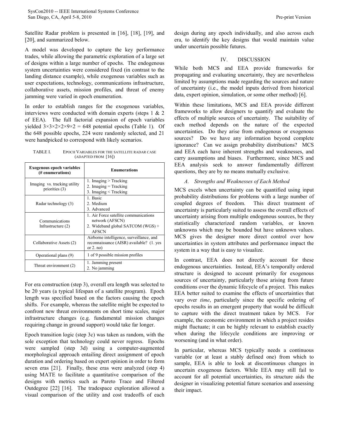Satellite Radar problem is presented in [16], [18], [19], and [20], and summarized below.

A model was developed to capture the key performance trades, while allowing the parametric exploration of a large set of designs within a large number of epochs. The endogenous system uncertainties were considered fixed (in contrast to the landing distance example), while exogenous variables such as user expectations, technology, communications infrastructure, collaborative assets, mission profiles, and threat of enemy jamming were varied in epoch enumeration.

In order to establish ranges for the exogenous variables, interviews were conducted with domain experts (steps 1 & 2 of EEA). The full factorial expansion of epoch variables yielded  $3 \times 3 \times 2 \times 2 \times 9 \times 2 = 648$  potential epochs (Table 1). Of the 648 possible epochs, 224 were randomly selected, and 21 were handpicked to correspond with likely scenarios.

TABLE I. EPOCH VARIABLES FOR THE SATELLITE RADAR CASE (ADAPTED FROM [16])

| <b>Exogenous epoch variables</b><br>(# enumerations) | <b>Enumerations</b>                                                                                           |
|------------------------------------------------------|---------------------------------------------------------------------------------------------------------------|
| Imaging vs. tracking utility<br>priorities (3)       | 1. Imaging $>$ Tracking<br>2. Imaging $=$ Tracking                                                            |
|                                                      | 3. Imaging $\leq$ Tracking                                                                                    |
| Radar technology (3)                                 | 1. Basic                                                                                                      |
|                                                      | 2. Medium                                                                                                     |
|                                                      | 3. Advanced                                                                                                   |
| Communications<br>Infrastructure (2)                 | 1. Air Force satellite communications<br>network (AFSCN)<br>2. Wideband global SATCOM (WGS) +<br><b>AFSCN</b> |
| Collaborative Assets (2)                             | Airborne intelligence, surveillance, and<br>reconnaissance (AISR) available? (1. yes<br>or $2$ , no)          |
| Operational plans (9)                                | 1 of 9 possible mission profiles                                                                              |
| Threat environment (2)                               | 1. Jamming present<br>2. No jamming                                                                           |

For era construction (step 3), overall era length was selected to be 20 years (a typical lifespan of a satellite program). Epoch length was specified based on the factors causing the epoch shifts. For example, whereas the satellite might be expected to confront new threat environments on short time scales, major infrastructure changes (e.g. fundamental mission changes requiring change in ground support) would take far longer.

Epoch transition logic (step 3c) was taken as random, with the sole exception that technology could never regress. Epochs were sampled (step 3d) using a computer-augmented morphological approach entailing direct assignment of epoch duration and ordering based on expert opinion in order to form seven eras [21]. Finally, these eras were analyzed (step 4) using MATE to facilitate a quantitative comparison of the designs with metrics such as Pareto Trace and Filtered Outdegree [22] [16]. The tradespace exploration allowed a visual comparison of the utility and cost tradeoffs of each

design during any epoch individually, and also across each era, to identify the key designs that would maintain value under uncertain possible futures.

# IV. DISCUSSION

While both MCS and EEA provide frameworks for propagating and evaluating uncertainty, they are nevertheless limited by assumptions made regarding the sources and nature of uncertainty (i.e., the model inputs derived from historical data, expert opinion, simulation, or some other method) [6].

Within these limitations, MCS and EEA provide different frameworks to allow designers to quantify and evaluate the effects of multiple sources of uncertainty. The suitability of each method depends on the nature of the expected uncertainties. Do they arise from endogenous or exogenous sources? Do we have any information beyond complete ignorance? Can we assign probability distributions? MCS and EEA each have inherent strengths and weaknesses, and carry assumptions and biases. Furthermore, since MCS and EEA analysis seek to answer fundamentally different questions, they are by no means mutually exclusive.

# *A. Strengths and Weaknesses of Each Method*

MCS excels when uncertainty can be quantified using input probability distributions for problems with a large number of coupled degrees of freedom. This direct treatment of uncertainty is particularly suited to assess the overall effects of uncertainty arising from multiple endogenous sources, be they statistically characterized random variables, or known unknowns which may be bounded but have unknown values. MCS gives the designer more direct control over how uncertainties in system attributes and performance impact the system in a way that is easy to visualize.

In contrast, EEA does not directly account for these endogenous uncertainties. Instead, EEA's temporally ordered structure is designed to account primarily for exogenous sources of uncertainty, particularly those arising from future conditions over the dynamic lifecycle of a project. This makes EEA better suited to examine the effects of uncertainties that vary over *time*, particularly since the specific ordering of epochs results in an emergent property that would be difficult to capture with the direct treatment taken by MCS. For example, the economic environment in which a project resides might fluctuate; it can be highly relevant to establish exactly when during the lifecycle conditions are improving or worsening (and in what order).

In particular, whereas MCS typically needs a continuous variable (or at least a stably defined one) from which to sample, EEA is able to look at discontinuous changes in uncertain exogenous factors. While EEA may still fail to account for all potential uncertainties, its structure aids the designer in visualizing potential future scenarios and assessing their impact.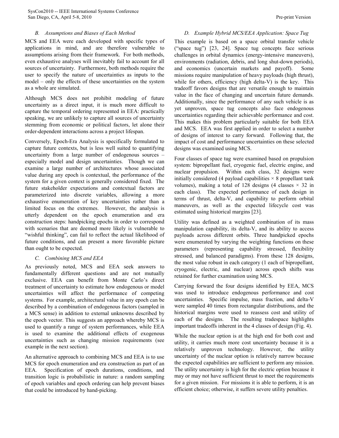SysCon2010 -- IEEE International Systems Conference San Diego, CA, April 5-8, 2010

# *B. Assumptions and Biases of Each Method*

MCS and EEA were each developed with specific types of applications in mind, and are therefore vulnerable to assumptions arising from their framework. For both methods, even exhaustive analyses will inevitably fail to account for all sources of uncertainty. Furthermore, both methods require the user to specify the nature of uncertainties as inputs to the model – only the effects of these uncertainties on the system as a whole are simulated.

Although MCS does not prohibit modeling of future uncertainty as a direct input, it is much more difficult to capture the temporal ordering represented in EEA: practically speaking, we are unlikely to capture all sources of uncertainty stemming from economic or political factors, let alone their order-dependent interactions across a project lifespan.

Conversely, Epoch-Era Analysis is specifically formulated to capture future contexts, but is less well suited to quantifying uncertainty from a large number of endogenous sources – especially model and design uncertainties. Though we can examine a large number of architectures whose associated value during any epoch is contextual, the performance of the system for a given context is generally considered fixed. The future stakeholder expectations and contextual factors are parameterized into discrete variables, allowing a more exhaustive enumeration of key uncertainties rather than a limited focus on the extremes. However, the analysis is utterly dependent on the epoch enumeration and era construction steps: handpicking epochs in order to correspond with scenarios that are deemed more likely is vulnerable to "wishful thinking", can fail to reflect the actual likelihood of future conditions, and can present a more favorable picture than ought to be expected.

# *C. Combining MCS and EEA*

As previously noted, MCS and EEA seek answers to fundamentally different questions and are not mutually exclusive. EEA can benefit from Monte Carlo's direct treatment of uncertainty to estimate how endogenous or model uncertainties will affect the performance of competing systems. For example, architectural value in any epoch can be described by a combination of endogenous factors (sampled in a MCS sense) in addition to external unknowns described by the epoch vector. This suggests an approach whereby MCS is used to quantify a range of system performances, while EEA is used to examine the additional effects of exogenous uncertainties such as changing mission requirements (see example in the next section).

An alternative approach to combining MCS and EEA is to use MCS for epoch enumeration and era construction as part of an EEA. Specification of epoch durations, conditions, and transition logic is probabilistic in nature: a random sampling of epoch variables and epoch ordering can help prevent biases that could be introduced by hand-picking.

#### *D. Example Hybrid MCS/EEA Application: Space Tug*

This example is based on a space orbital transfer vehicle ("space tug") [23, 24]. Space tug concepts face serious challenges in orbital dynamics (energy-intensive maneuvers), environments (radiation, debris, and long shut-down periods), and economics (uncertain markets and payoff). Some missions require manipulation of heavy payloads (high thrust), while for others, efficiency (high delta-V) is the key. This tradeoff favors designs that are versatile enough to maintain value in the face of changing and uncertain future demands. Additionally, since the performance of any such vehicle is as yet unproven, space tug concepts also face endogenous uncertainties regarding their achievable performance and cost. This makes this problem particularly suitable for both EEA and MCS. EEA was first applied in order to select a number of designs of interest to carry forward. Following that, the impact of cost and performance uncertainties on these selected designs was examined using MCS.

Four classes of space tug were examined based on propulsion system: bipropellant fuel, cryogenic fuel, electric engine, and nuclear propulsion. Within each class, 32 designs were initially considered (4 payload capabilities  $\times$  8 propellant tank volumes), making a total of 128 designs (4 classes  $\times$  32 in each class). The expected performance of each design in terms of thrust, delta-V, and capability to perform orbital maneuvers, as well as the expected lifecycle cost was estimated using historical margins [23].

Utility was defined as a weighted combination of its mass manipulation capability, its delta-V, and its ability to access payloads across different orbits. Three handpicked epochs were enumerated by varying the weighting functions on these parameters (representing capability stressed, flexibility stressed, and balanced paradigms). From these 128 designs, the most value robust in each category (1 each of bipropellant, cryogenic, electric, and nuclear) across epoch shifts was retained for further examination using MCS.

Carrying forward the four designs identified by EEA, MCS was used to introduce endogenous performance and cost uncertainties. Specific impulse, mass fraction, and delta-V were sampled 40 times from rectangular distributions, and the historical margins were used to reassess cost and utility of each of the designs. The resulting tradespace highlights important tradeoffs inherent in the 4 classes of design (Fig. 4).

While the nuclear option is at the high end for both cost and utility, it carries much more cost uncertainty because it is a relatively unproven technology. However, the utility uncertainty of the nuclear option is relatively narrow because the expected capabilities are sufficient to perform any mission. The utility uncertainty is high for the electric option because it may or may not have sufficient thrust to meet the requirements for a given mission. For missions it is able to perform, it is an efficient choice; otherwise, it suffers severe utility penalties.